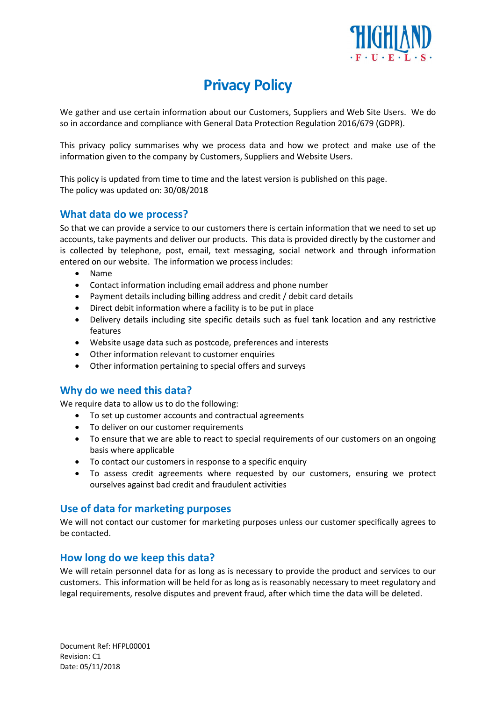

# Privacy Policy

We gather and use certain information about our Customers, Suppliers and Web Site Users. We do so in accordance and compliance with General Data Protection Regulation 2016/679 (GDPR).

This privacy policy summarises why we process data and how we protect and make use of the information given to the company by Customers, Suppliers and Website Users.

This policy is updated from time to time and the latest version is published on this page. The policy was updated on: 30/08/2018

#### What data do we process?

So that we can provide a service to our customers there is certain information that we need to set up accounts, take payments and deliver our products. This data is provided directly by the customer and is collected by telephone, post, email, text messaging, social network and through information entered on our website. The information we process includes:

- Name
- Contact information including email address and phone number
- Payment details including billing address and credit / debit card details
- Direct debit information where a facility is to be put in place
- Delivery details including site specific details such as fuel tank location and any restrictive features
- Website usage data such as postcode, preferences and interests
- Other information relevant to customer enquiries
- Other information pertaining to special offers and surveys

#### Why do we need this data?

We require data to allow us to do the following:

- To set up customer accounts and contractual agreements
- To deliver on our customer requirements
- To ensure that we are able to react to special requirements of our customers on an ongoing basis where applicable
- To contact our customers in response to a specific enquiry
- To assess credit agreements where requested by our customers, ensuring we protect ourselves against bad credit and fraudulent activities

#### Use of data for marketing purposes

We will not contact our customer for marketing purposes unless our customer specifically agrees to be contacted.

#### How long do we keep this data?

We will retain personnel data for as long as is necessary to provide the product and services to our customers. This information will be held for as long as is reasonably necessary to meet regulatory and legal requirements, resolve disputes and prevent fraud, after which time the data will be deleted.